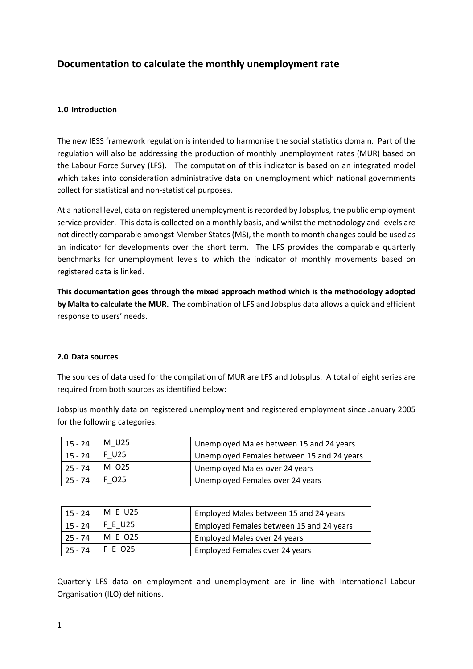# **Documentation to calculate the monthly unemployment rate**

## **1.0 Introduction**

The new IESS framework regulation is intended to harmonise the social statistics domain. Part of the regulation will also be addressing the production of monthly unemployment rates (MUR) based on the Labour Force Survey (LFS). The computation of this indicator is based on an integrated model which takes into consideration administrative data on unemployment which national governments collect for statistical and non-statistical purposes.

At a national level, data on registered unemployment is recorded by Jobsplus, the public employment service provider. This data is collected on a monthly basis, and whilst the methodology and levels are not directly comparable amongst Member States (MS), the month to month changes could be used as an indicator for developments over the short term. The LFS provides the comparable quarterly benchmarks for unemployment levels to which the indicator of monthly movements based on registered data is linked.

**This documentation goes through the mixed approach method which is the methodology adopted by Malta to calculate the MUR.** The combination of LFS and Jobsplus data allows a quick and efficient response to users' needs.

## **2.0 Data sources**

The sources of data used for the compilation of MUR are LFS and Jobsplus. A total of eight series are required from both sources as identified below:

Jobsplus monthly data on registered unemployment and registered employment since January 2005 for the following categories:

| $15 - 24$ | M U25 | Unemployed Males between 15 and 24 years   |
|-----------|-------|--------------------------------------------|
| $15 - 24$ | F U25 | Unemployed Females between 15 and 24 years |
| $25 - 74$ | M 025 | Unemployed Males over 24 years             |
| $25 - 74$ | F 025 | Unemployed Females over 24 years           |

| $15 - 24$ | M E U25 | Employed Males between 15 and 24 years   |
|-----------|---------|------------------------------------------|
| $15 - 24$ | F E U25 | Employed Females between 15 and 24 years |
| $25 - 74$ | M E 025 | <b>Employed Males over 24 years</b>      |
| $25 - 74$ | F E 025 | Employed Females over 24 years           |

Quarterly LFS data on employment and unemployment are in line with International Labour Organisation (ILO) definitions.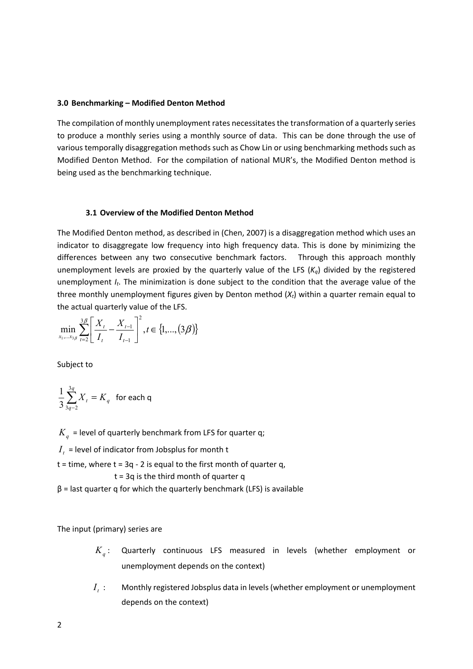#### **3.0 Benchmarking – Modified Denton Method**

The compilation of monthly unemployment rates necessitates the transformation of a quarterly series to produce a monthly series using a monthly source of data. This can be done through the use of various temporally disaggregation methods such as Chow Lin or using benchmarking methods such as Modified Denton Method. For the compilation of national MUR's, the Modified Denton method is being used as the benchmarking technique.

#### **3.1 Overview of the Modified Denton Method**

The Modified Denton method, as described in (Chen, 2007) is a disaggregation method which uses an indicator to disaggregate low frequency into high frequency data. This is done by minimizing the differences between any two consecutive benchmark factors. Through this approach monthly unemployment levels are proxied by the quarterly value of the LFS  $(K_q)$  divided by the registered unemployment *It*. The minimization is done subject to the condition that the average value of the three monthly unemployment figures given by Denton method (*Xt*) within a quarter remain equal to the actual quarterly value of the LFS.

$$
\min_{x_1, \dots, x_{3\beta}} \sum_{t=2}^{3\beta} \left[ \frac{X_t}{I_t} - \frac{X_{t-1}}{I_{t-1}} \right]^2, t \in \{1, \dots, (3\beta)\}
$$

Subject to

$$
\frac{1}{3}\sum_{3q-2}^{3q}X_t=K_q\quad\text{for each }q
$$

 $K_q$  = level of quarterly benchmark from LFS for quarter q;

 $I<sub>r</sub>$  = level of indicator from Jobsplus for month t

 $t =$  time, where  $t = 3q - 2$  is equal to the first month of quarter q,

 $t = 3q$  is the third month of quarter q

 $β =$  last quarter q for which the quarterly benchmark (LFS) is available

The input (primary) series are

- *K<sub>n</sub>*: Quarterly continuous LFS measured in levels (whether employment or unemployment depends on the context)
- *<sup>t</sup> I* : Monthly registered Jobsplus data in levels (whether employment or unemployment depends on the context)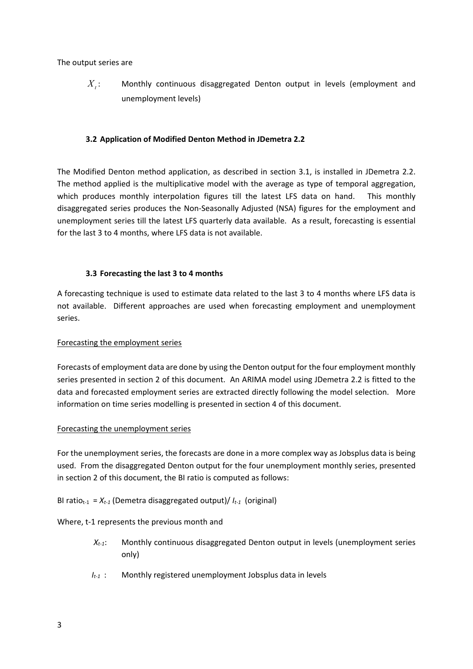The output series are

X<sub>i</sub>: Monthly continuous disaggregated Denton output in levels (employment and unemployment levels)

## **3.2 Application of Modified Denton Method in JDemetra 2.2**

The Modified Denton method application, as described in section 3.1, is installed in JDemetra 2.2. The method applied is the multiplicative model with the average as type of temporal aggregation, which produces monthly interpolation figures till the latest LFS data on hand. This monthly disaggregated series produces the Non-Seasonally Adjusted (NSA) figures for the employment and unemployment series till the latest LFS quarterly data available. As a result, forecasting is essential for the last 3 to 4 months, where LFS data is not available.

## **3.3 Forecasting the last 3 to 4 months**

A forecasting technique is used to estimate data related to the last 3 to 4 months where LFS data is not available. Different approaches are used when forecasting employment and unemployment series.

## Forecasting the employment series

Forecasts of employment data are done by using the Denton output for the four employment monthly series presented in section 2 of this document. An ARIMA model using JDemetra 2.2 is fitted to the data and forecasted employment series are extracted directly following the model selection. More information on time series modelling is presented in section 4 of this document.

## Forecasting the unemployment series

For the unemployment series, the forecasts are done in a more complex way as Jobsplus data is being used. From the disaggregated Denton output for the four unemployment monthly series, presented in section 2 of this document, the BI ratio is computed as follows:

# BI ratio<sub>t-1</sub> =  $X_{t-1}$  (Demetra disaggregated output)/ $I_{t-1}$  (original)

Where, t-1 represents the previous month and

- *Xt-1*: Monthly continuous disaggregated Denton output in levels (unemployment series only)
- *It-1* : Monthly registered unemployment Jobsplus data in levels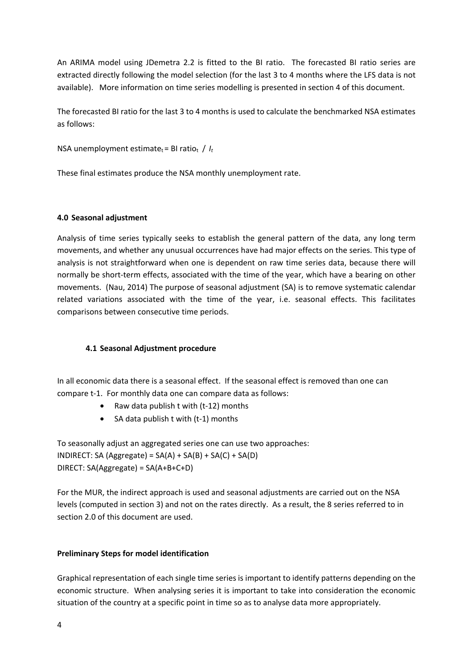An ARIMA model using JDemetra 2.2 is fitted to the BI ratio. The forecasted BI ratio series are extracted directly following the model selection (for the last 3 to 4 months where the LFS data is not available). More information on time series modelling is presented in section 4 of this document.

The forecasted BI ratio for the last 3 to 4 months is used to calculate the benchmarked NSA estimates as follows:

NSA unemployment estimate<sub>t</sub> = BI ratio<sub>t</sub> /  $I_t$ 

These final estimates produce the NSA monthly unemployment rate.

## **4.0 Seasonal adjustment**

Analysis of time series typically seeks to establish the general pattern of the data, any long term movements, and whether any unusual occurrences have had major effects on the series. This type of analysis is not straightforward when one is dependent on raw time series data, because there will normally be short-term effects, associated with the time of the year, which have a bearing on other movements. (Nau, 2014) The purpose of seasonal adjustment (SA) is to remove systematic calendar related variations associated with the time of the year, i.e. seasonal effects. This facilitates comparisons between consecutive time periods.

# **4.1 Seasonal Adjustment procedure**

In all economic data there is a seasonal effect. If the seasonal effect is removed than one can compare t-1. For monthly data one can compare data as follows:

- Raw data publish t with (t-12) months
- SA data publish t with (t-1) months

To seasonally adjust an aggregated series one can use two approaches: INDIRECT: SA (Aggregate) = SA(A) + SA(B) + SA(C) + SA(D) DIRECT: SA(Aggregate) = SA(A+B+C+D)

For the MUR, the indirect approach is used and seasonal adjustments are carried out on the NSA levels (computed in section 3) and not on the rates directly. As a result, the 8 series referred to in section 2.0 of this document are used.

# **Preliminary Steps for model identification**

Graphical representation of each single time series is important to identify patterns depending on the economic structure. When analysing series it is important to take into consideration the economic situation of the country at a specific point in time so as to analyse data more appropriately.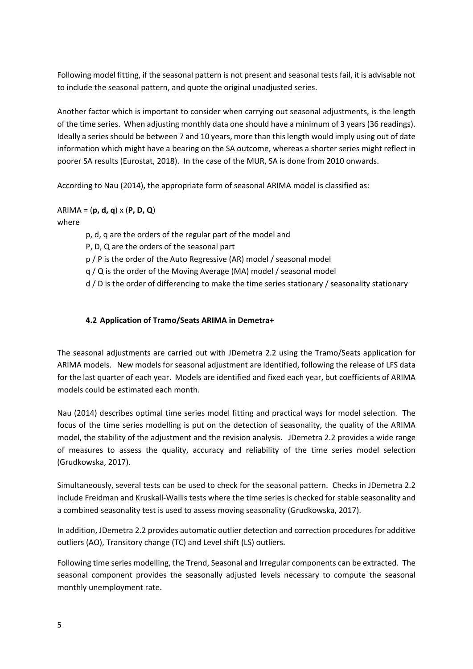Following model fitting, if the seasonal pattern is not present and seasonal tests fail, it is advisable not to include the seasonal pattern, and quote the original unadjusted series.

Another factor which is important to consider when carrying out seasonal adjustments, is the length of the time series. When adjusting monthly data one should have a minimum of 3 years (36 readings). Ideally a series should be between 7 and 10 years, more than this length would imply using out of date information which might have a bearing on the SA outcome, whereas a shorter series might reflect in poorer SA results (Eurostat, 2018). In the case of the MUR, SA is done from 2010 onwards.

According to Nau (2014), the appropriate form of seasonal ARIMA model is classified as:

ARIMA = (**p, d, q**) x (**P, D, Q**)

where

- p, d, q are the orders of the regular part of the model and
- P, D, Q are the orders of the seasonal part
- p / P is the order of the Auto Regressive (AR) model / seasonal model
- q / Q is the order of the Moving Average (MA) model / seasonal model
- d / D is the order of differencing to make the time series stationary / seasonality stationary

# **4.2 Application of Tramo/Seats ARIMA in Demetra+**

The seasonal adjustments are carried out with JDemetra 2.2 using the Tramo/Seats application for ARIMA models. New models for seasonal adjustment are identified, following the release of LFS data for the last quarter of each year. Models are identified and fixed each year, but coefficients of ARIMA models could be estimated each month.

Nau (2014) describes optimal time series model fitting and practical ways for model selection. The focus of the time series modelling is put on the detection of seasonality, the quality of the ARIMA model, the stability of the adjustment and the revision analysis. JDemetra 2.2 provides a wide range of measures to assess the quality, accuracy and reliability of the time series model selection (Grudkowska, 2017).

Simultaneously, several tests can be used to check for the seasonal pattern. Checks in JDemetra 2.2 include Freidman and Kruskall-Wallis tests where the time series is checked for stable seasonality and a combined seasonality test is used to assess moving seasonality (Grudkowska, 2017).

In addition, JDemetra 2.2 provides automatic outlier detection and correction procedures for additive outliers (AO), Transitory change (TC) and Level shift (LS) outliers.

Following time series modelling, the Trend, Seasonal and Irregular components can be extracted. The seasonal component provides the seasonally adjusted levels necessary to compute the seasonal monthly unemployment rate.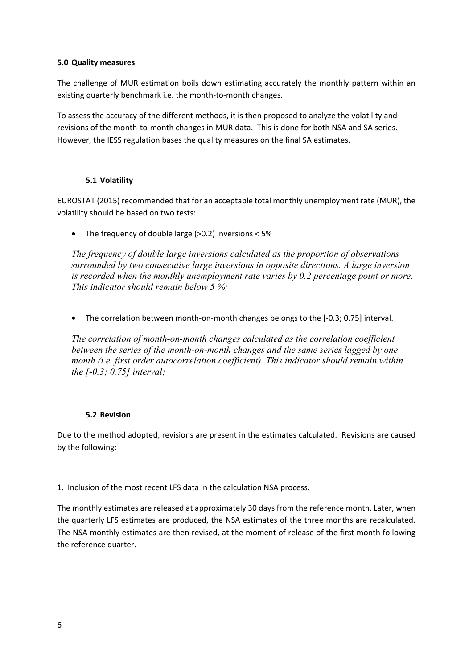## **5.0 Quality measures**

The challenge of MUR estimation boils down estimating accurately the monthly pattern within an existing quarterly benchmark i.e. the month-to-month changes.

To assess the accuracy of the different methods, it is then proposed to analyze the volatility and revisions of the month-to-month changes in MUR data. This is done for both NSA and SA series. However, the IESS regulation bases the quality measures on the final SA estimates.

# **5.1 Volatility**

EUROSTAT (2015) recommended that for an acceptable total monthly unemployment rate (MUR), the volatility should be based on two tests:

• The frequency of double large (>0.2) inversions < 5%

*The frequency of double large inversions calculated as the proportion of observations surrounded by two consecutive large inversions in opposite directions. A large inversion is recorded when the monthly unemployment rate varies by 0.2 percentage point or more. This indicator should remain below 5 %;* 

• The correlation between month-on-month changes belongs to the [-0.3; 0.75] interval.

*The correlation of month-on-month changes calculated as the correlation coefficient between the series of the month-on-month changes and the same series lagged by one month (i.e. first order autocorrelation coefficient). This indicator should remain within the [-0.3; 0.75] interval;* 

# **5.2 Revision**

Due to the method adopted, revisions are present in the estimates calculated. Revisions are caused by the following:

1. Inclusion of the most recent LFS data in the calculation NSA process.

The monthly estimates are released at approximately 30 days from the reference month. Later, when the quarterly LFS estimates are produced, the NSA estimates of the three months are recalculated. The NSA monthly estimates are then revised, at the moment of release of the first month following the reference quarter.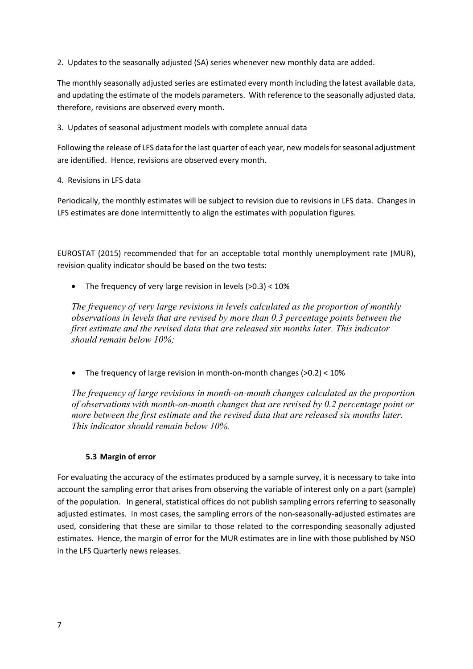2. Updates to the seasonally adjusted (SA) series whenever new monthly data are added.

The monthly seasonally adjusted series are estimated every month including the latest available data, and updating the estimate of the models parameters. With reference to the seasonally adjusted data, therefore, revisions are observed every month.

3. Updates of seasonal adjustment models with complete annual data

Following the release of LFS data for the last quarter of each year, new models for seasonal adjustment are identified. Hence, revisions are observed every month.

4. Revisions in LFS data

Periodically, the monthly estimates will be subject to revision due to revisions in LFS data. Changes in LFS estimates are done intermittently to align the estimates with population figures.

EUROSTAT (2015) recommended that for an acceptable total monthly unemployment rate (MUR), revision quality indicator should be based on the two tests:

• The frequency of very large revision in levels  $(>0.3)$  < 10%

*The frequency of very large revisions in levels calculated as the proportion of monthly observations in levels that are revised by more than 0.3 percentage points between the first estimate and the revised data that are released six months later. This indicator should remain below 10%;* 

• The frequency of large revision in month-on-month changes (>0.2) < 10%

*The frequency of large revisions in month-on-month changes calculated as the proportion of observations with month-on-month changes that are revised by 0.2 percentage point or more between the first estimate and the revised data that are released six months later. This indicator should remain below 10%.* 

# **5.3 Margin of error**

For evaluating the accuracy of the estimates produced by a sample survey, it is necessary to take into account the sampling error that arises from observing the variable of interest only on a part (sample) of the population. In general, statistical offices do not publish sampling errors referring to seasonally adjusted estimates. In most cases, the sampling errors of the non-seasonally-adjusted estimates are used, considering that these are similar to those related to the corresponding seasonally adjusted estimates. Hence, the margin of error for the MUR estimates are in line with those published by NSO in the LFS Quarterly news releases.